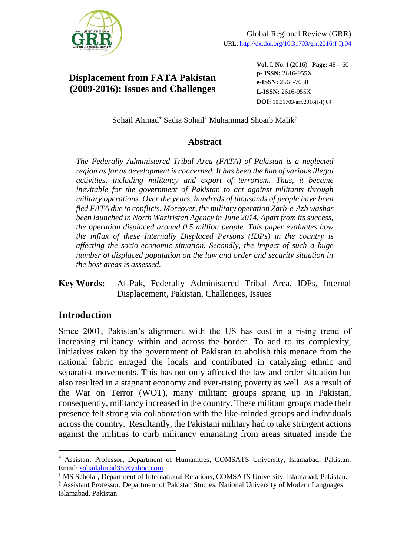

# **Displacement from FATA Pakistan (2009-2016): Issues and Challenges**

**Vol.** I**, No.** I (2016) | **Page:** 48 ‒ 60 **p- ISSN:** 2616-955X **e-ISSN:** 2663-7030 **L-ISSN:** 2616-955X **DOI:** 10.31703/grr.2016(I-I).04

Sohail Ahmad\* Sadia Sohail† Muhammad Shoaib Malik‡

### **Abstract**

*The Federally Administered Tribal Area (FATA) of Pakistan is a neglected region as far as development is concerned. It has been the hub of various illegal activities, including militancy and export of terrorism. Thus, it became inevitable for the government of Pakistan to act against militants through military operations. Over the years, hundreds of thousands of people have been fled FATA due to conflicts. Moreover, the military operation Zarb-e-Azb washas been launched in North Waziristan Agency in June 2014. Apart from its success, the operation displaced around 0.5 million people. This paper evaluates how the influx of these Internally Displaced Persons (IDPs) in the country is affecting the socio-economic situation. Secondly, the impact of such a huge number of displaced population on the law and order and security situation in the host areas is assessed.*

### **Key Words:** Af-Pak, Federally Administered Tribal Area, IDPs, Internal Displacement, Pakistan, Challenges, Issues

### **Introduction**

 $\overline{a}$ 

Since 2001, Pakistan's alignment with the US has cost in a rising trend of increasing militancy within and across the border. To add to its complexity, initiatives taken by the government of Pakistan to abolish this menace from the national fabric enraged the locals and contributed in catalyzing ethnic and separatist movements. This has not only affected the law and order situation but also resulted in a stagnant economy and ever-rising poverty as well. As a result of the War on Terror (WOT), many militant groups sprang up in Pakistan, consequently, militancy increased in the country. These militant groups made their presence felt strong via collaboration with the like-minded groups and individuals across the country. Resultantly, the Pakistani military had to take stringent actions against the militias to curb militancy emanating from areas situated inside the

<sup>\*</sup> Assistant Professor, Department of Humanities, COMSATS University, Islamabad, Pakistan. Email: [sohailahmad35@yahoo.com](mailto:sohailahmad35@yahoo.com)

<sup>†</sup> MS Scholar, Department of International Relations, COMSATS University, Islamabad, Pakistan.

<sup>‡</sup> Assistant Professor, Department of Pakistan Studies, National University of Modern Languages Islamabad, Pakistan.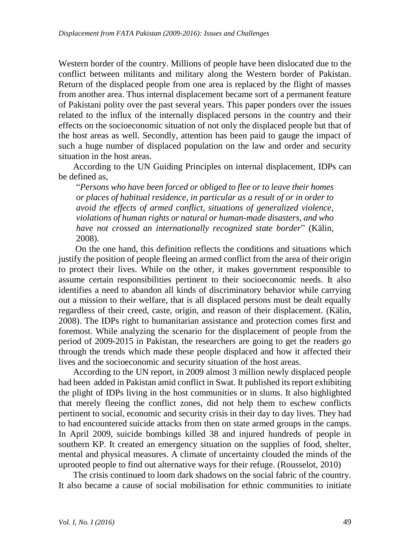Western border of the country. Millions of people have been dislocated due to the conflict between militants and military along the Western border of Pakistan. Return of the displaced people from one area is replaced by the flight of masses from another area. Thus internal displacement became sort of a permanent feature of Pakistani polity over the past several years. This paper ponders over the issues related to the influx of the internally displaced persons in the country and their effects on the socioeconomic situation of not only the displaced people but that of the host areas as well. Secondly, attention has been paid to gauge the impact of such a huge number of displaced population on the law and order and security situation in the host areas.

According to the UN Guiding Principles on internal displacement, IDPs can be defined as,

"*Persons who have been forced or obliged to flee or to leave their homes or places of habitual residence, in particular as a result of or in order to avoid the effects of armed conflict, situations of generalized violence, violations of human rights or natural or human-made disasters, and who have not crossed an internationally recognized state border*" (Kälin, 2008).

On the one hand, this definition reflects the conditions and situations which justify the position of people fleeing an armed conflict from the area of their origin to protect their lives. While on the other, it makes government responsible to assume certain responsibilities pertinent to their socioeconomic needs. It also identifies a need to abandon all kinds of discriminatory behavior while carrying out a mission to their welfare, that is all displaced persons must be dealt equally regardless of their creed, caste, origin, and reason of their displacement. (Kälin, 2008). The IDPs right to humanitarian assistance and protection comes first and foremost. While analyzing the scenario for the displacement of people from the period of 2009-2015 in Pakistan, the researchers are going to get the readers go through the trends which made these people displaced and how it affected their lives and the socioeconomic and security situation of the host areas.

According to the UN report, in 2009 almost 3 million newly displaced people had been added in Pakistan amid conflict in Swat. It published its report exhibiting the plight of IDPs living in the host communities or in slums. It also highlighted that merely fleeing the conflict zones, did not help them to eschew conflicts pertinent to social, economic and security crisis in their day to day lives. They had to had encountered suicide attacks from then on state armed groups in the camps. In April 2009, suicide bombings killed 38 and injured hundreds of people in southern KP. It created an emergency situation on the supplies of food, shelter, mental and physical measures. A climate of uncertainty clouded the minds of the uprooted people to find out alternative ways for their refuge. (Rousselot, 2010)

The crisis continued to loom dark shadows on the social fabric of the country. It also became a cause of social mobilisation for ethnic communities to initiate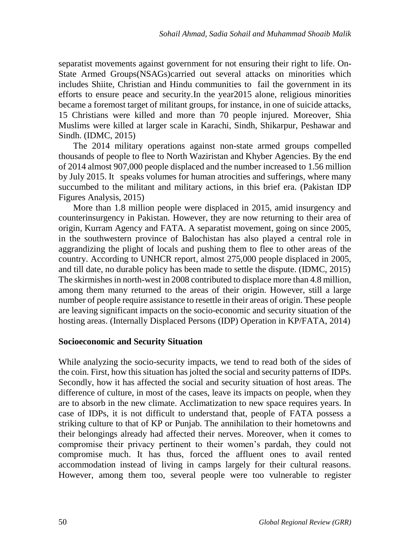separatist movements against government for not ensuring their right to life. On-State Armed Groups(NSAGs)carried out several attacks on minorities which includes Shiite, Christian and Hindu communities to fail the government in its efforts to ensure peace and security.In the year2015 alone, religious minorities became a foremost target of militant groups, for instance, in one of suicide attacks, 15 Christians were killed and more than 70 people injured. Moreover, Shia Muslims were killed at larger scale in Karachi, Sindh, Shikarpur, Peshawar and Sindh. (IDMC, 2015)

The 2014 military operations against non-state armed groups compelled thousands of people to flee to North Waziristan and Khyber Agencies. By the end of 2014 almost 907,000 people displaced and the number increased to 1.56 million by July 2015. It speaks volumes for human atrocities and sufferings, where many succumbed to the militant and military actions, in this brief era. (Pakistan IDP Figures Analysis, 2015)

More than 1.8 million people were displaced in 2015, amid insurgency and counterinsurgency in Pakistan. However, they are now returning to their area of origin, Kurram Agency and FATA. A separatist movement, going on since 2005, in the southwestern province of Balochistan has also played a central role in aggrandizing the plight of locals and pushing them to flee to other areas of the country. According to UNHCR report, almost 275,000 people displaced in 2005, and till date, no durable policy has been made to settle the dispute. (IDMC, 2015) The skirmishes in north-west in 2008 contributed to displace more than 4.8 million, among them many returned to the areas of their origin. However, still a large number of people require assistance to resettle in their areas of origin. These people are leaving significant impacts on the socio-economic and security situation of the hosting areas. (Internally Displaced Persons (IDP) Operation in KP/FATA, 2014)

#### **Socioeconomic and Security Situation**

While analyzing the socio-security impacts, we tend to read both of the sides of the coin. First, how this situation has jolted the social and security patterns of IDPs. Secondly, how it has affected the social and security situation of host areas. The difference of culture, in most of the cases, leave its impacts on people, when they are to absorb in the new climate. Acclimatization to new space requires years. In case of IDPs, it is not difficult to understand that, people of FATA possess a striking culture to that of KP or Punjab. The annihilation to their hometowns and their belongings already had affected their nerves. Moreover, when it comes to compromise their privacy pertinent to their women's pardah, they could not compromise much. It has thus, forced the affluent ones to avail rented accommodation instead of living in camps largely for their cultural reasons. However, among them too, several people were too vulnerable to register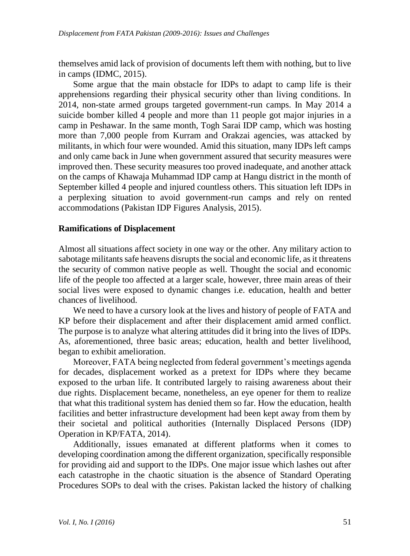themselves amid lack of provision of documents left them with nothing, but to live in camps (IDMC, 2015).

Some argue that the main obstacle for IDPs to adapt to camp life is their apprehensions regarding their physical security other than living conditions. In 2014, non-state armed groups targeted government-run camps. In May 2014 a suicide bomber killed 4 people and more than 11 people got major injuries in a camp in Peshawar. In the same month, Togh Sarai IDP camp, which was hosting more than 7,000 people from Kurram and Orakzai agencies, was attacked by militants, in which four were wounded. Amid this situation, many IDPs left camps and only came back in June when government assured that security measures were improved then. These security measures too proved inadequate, and another attack on the camps of Khawaja Muhammad IDP camp at Hangu district in the month of September killed 4 people and injured countless others. This situation left IDPs in a perplexing situation to avoid government-run camps and rely on rented accommodations (Pakistan IDP Figures Analysis, 2015).

#### **Ramifications of Displacement**

Almost all situations affect society in one way or the other. Any military action to sabotage militants safe heavens disrupts the social and economic life, as it threatens the security of common native people as well. Thought the social and economic life of the people too affected at a larger scale, however, three main areas of their social lives were exposed to dynamic changes i.e. education, health and better chances of livelihood.

We need to have a cursory look at the lives and history of people of FATA and KP before their displacement and after their displacement amid armed conflict. The purpose is to analyze what altering attitudes did it bring into the lives of IDPs. As, aforementioned, three basic areas; education, health and better livelihood, began to exhibit amelioration.

Moreover, FATA being neglected from federal government's meetings agenda for decades, displacement worked as a pretext for IDPs where they became exposed to the urban life. It contributed largely to raising awareness about their due rights. Displacement became, nonetheless, an eye opener for them to realize that what this traditional system has denied them so far. How the education, health facilities and better infrastructure development had been kept away from them by their societal and political authorities (Internally Displaced Persons (IDP) Operation in KP/FATA, 2014).

Additionally, issues emanated at different platforms when it comes to developing coordination among the different organization, specifically responsible for providing aid and support to the IDPs. One major issue which lashes out after each catastrophe in the chaotic situation is the absence of Standard Operating Procedures SOPs to deal with the crises. Pakistan lacked the history of chalking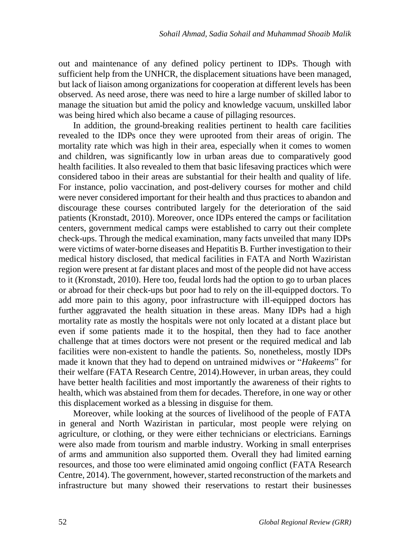out and maintenance of any defined policy pertinent to IDPs. Though with sufficient help from the UNHCR, the displacement situations have been managed, but lack of liaison among organizations for cooperation at different levels has been observed. As need arose, there was need to hire a large number of skilled labor to manage the situation but amid the policy and knowledge vacuum, unskilled labor was being hired which also became a cause of pillaging resources.

In addition, the ground-breaking realities pertinent to health care facilities revealed to the IDPs once they were uprooted from their areas of origin. The mortality rate which was high in their area, especially when it comes to women and children, was significantly low in urban areas due to comparatively good health facilities. It also revealed to them that basic lifesaving practices which were considered taboo in their areas are substantial for their health and quality of life. For instance, polio vaccination, and post-delivery courses for mother and child were never considered important for their health and thus practices to abandon and discourage these courses contributed largely for the deterioration of the said patients (Kronstadt, 2010). Moreover, once IDPs entered the camps or facilitation centers, government medical camps were established to carry out their complete check-ups. Through the medical examination, many facts unveiled that many IDPs were victims of water-borne diseases and Hepatitis B. Further investigation to their medical history disclosed, that medical facilities in FATA and North Waziristan region were present at far distant places and most of the people did not have access to it (Kronstadt, 2010). Here too, feudal lords had the option to go to urban places or abroad for their check-ups but poor had to rely on the ill-equipped doctors. To add more pain to this agony, poor infrastructure with ill-equipped doctors has further aggravated the health situation in these areas. Many IDPs had a high mortality rate as mostly the hospitals were not only located at a distant place but even if some patients made it to the hospital, then they had to face another challenge that at times doctors were not present or the required medical and lab facilities were non-existent to handle the patients. So, nonetheless, mostly IDPs made it known that they had to depend on untrained midwives or "*Hakeems*" for their welfare (FATA Research Centre, 2014).However, in urban areas, they could have better health facilities and most importantly the awareness of their rights to health, which was abstained from them for decades. Therefore, in one way or other this displacement worked as a blessing in disguise for them.

Moreover, while looking at the sources of livelihood of the people of FATA in general and North Waziristan in particular, most people were relying on agriculture, or clothing, or they were either technicians or electricians. Earnings were also made from tourism and marble industry. Working in small enterprises of arms and ammunition also supported them. Overall they had limited earning resources, and those too were eliminated amid ongoing conflict (FATA Research Centre, 2014). The government, however, started reconstruction of the markets and infrastructure but many showed their reservations to restart their businesses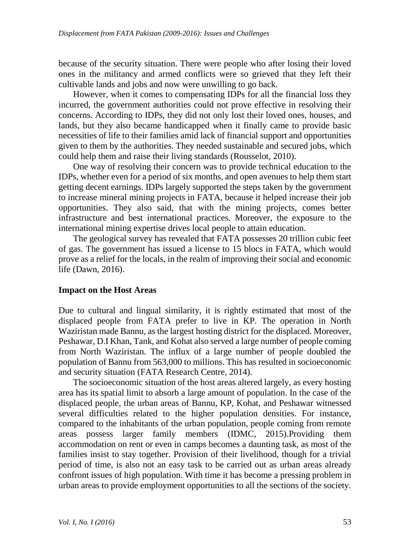because of the security situation. There were people who after losing their loved ones in the militancy and armed conflicts were so grieved that they left their cultivable lands and jobs and now were unwilling to go back.

However, when it comes to compensating IDPs for all the financial loss they incurred, the government authorities could not prove effective in resolving their concerns. According to IDPs, they did not only lost their loved ones, houses, and lands, but they also became handicapped when it finally came to provide basic necessities of life to their families amid lack of financial support and opportunities given to them by the authorities. They needed sustainable and secured jobs, which could help them and raise their living standards (Rousselot, 2010).

One way of resolving their concern was to provide technical education to the IDPs, whether even for a period of six months, and open avenues to help them start getting decent earnings. IDPs largely supported the steps taken by the government to increase mineral mining projects in FATA, because it helped increase their job opportunities. They also said, that with the mining projects, comes better infrastructure and best international practices. Moreover, the exposure to the international mining expertise drives local people to attain education.

The geological survey has revealed that FATA possesses 20 trillion cubic feet of gas. The government has issued a license to 15 blocs in FATA, which would prove as a relief for the locals, in the realm of improving their social and economic life (Dawn, 2016).

#### **Impact on the Host Areas**

Due to cultural and lingual similarity, it is rightly estimated that most of the displaced people from FATA prefer to live in KP. The operation in North Waziristan made Bannu, as the largest hosting district for the displaced. Moreover, Peshawar, D.I Khan, Tank, and Kohat also served a large number of people coming from North Waziristan. The influx of a large number of people doubled the population of Bannu from 563,000 to millions. This has resulted in socioeconomic and security situation (FATA Research Centre, 2014).

The socioeconomic situation of the host areas altered largely, as every hosting area has its spatial limit to absorb a large amount of population. In the case of the displaced people, the urban areas of Bannu, KP, Kohat, and Peshawar witnessed several difficulties related to the higher population densities. For instance, compared to the inhabitants of the urban population, people coming from remote areas possess larger family members (IDMC, 2015).Providing them accommodation on rent or even in camps becomes a daunting task, as most of the families insist to stay together. Provision of their livelihood, though for a trivial period of time, is also not an easy task to be carried out as urban areas already confront issues of high population. With time it has become a pressing problem in urban areas to provide employment opportunities to all the sections of the society.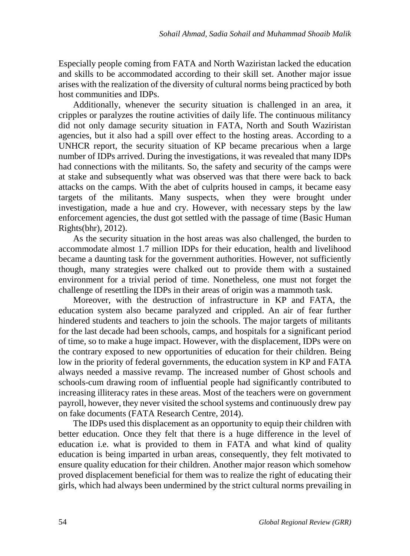Especially people coming from FATA and North Waziristan lacked the education and skills to be accommodated according to their skill set. Another major issue arises with the realization of the diversity of cultural norms being practiced by both host communities and IDPs.

Additionally, whenever the security situation is challenged in an area, it cripples or paralyzes the routine activities of daily life. The continuous militancy did not only damage security situation in FATA, North and South Waziristan agencies, but it also had a spill over effect to the hosting areas. According to a UNHCR report, the security situation of KP became precarious when a large number of IDPs arrived. During the investigations, it was revealed that many IDPs had connections with the militants. So, the safety and security of the camps were at stake and subsequently what was observed was that there were back to back attacks on the camps. With the abet of culprits housed in camps, it became easy targets of the militants. Many suspects, when they were brought under investigation, made a hue and cry. However, with necessary steps by the law enforcement agencies, the dust got settled with the passage of time (Basic Human Rights(bhr), 2012).

As the security situation in the host areas was also challenged, the burden to accommodate almost 1.7 million IDPs for their education, health and livelihood became a daunting task for the government authorities. However, not sufficiently though, many strategies were chalked out to provide them with a sustained environment for a trivial period of time. Nonetheless, one must not forget the challenge of resettling the IDPs in their areas of origin was a mammoth task.

Moreover, with the destruction of infrastructure in KP and FATA, the education system also became paralyzed and crippled. An air of fear further hindered students and teachers to join the schools. The major targets of militants for the last decade had been schools, camps, and hospitals for a significant period of time, so to make a huge impact. However, with the displacement, IDPs were on the contrary exposed to new opportunities of education for their children. Being low in the priority of federal governments, the education system in KP and FATA always needed a massive revamp. The increased number of Ghost schools and schools-cum drawing room of influential people had significantly contributed to increasing illiteracy rates in these areas. Most of the teachers were on government payroll, however, they never visited the school systems and continuously drew pay on fake documents (FATA Research Centre, 2014).

The IDPs used this displacement as an opportunity to equip their children with better education. Once they felt that there is a huge difference in the level of education i.e. what is provided to them in FATA and what kind of quality education is being imparted in urban areas, consequently, they felt motivated to ensure quality education for their children. Another major reason which somehow proved displacement beneficial for them was to realize the right of educating their girls, which had always been undermined by the strict cultural norms prevailing in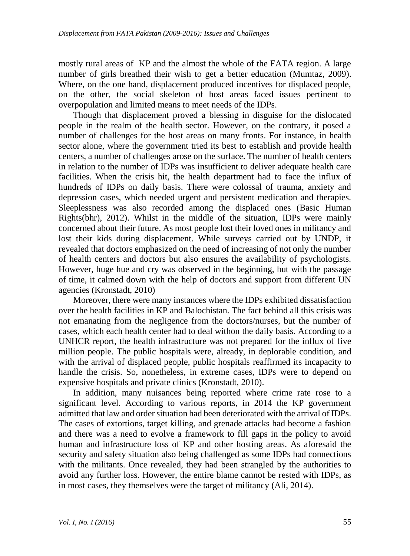mostly rural areas of KP and the almost the whole of the FATA region. A large number of girls breathed their wish to get a better education (Mumtaz, 2009). Where, on the one hand, displacement produced incentives for displaced people, on the other, the social skeleton of host areas faced issues pertinent to overpopulation and limited means to meet needs of the IDPs.

Though that displacement proved a blessing in disguise for the dislocated people in the realm of the health sector. However, on the contrary, it posed a number of challenges for the host areas on many fronts. For instance, in health sector alone, where the government tried its best to establish and provide health centers, a number of challenges arose on the surface. The number of health centers in relation to the number of IDPs was insufficient to deliver adequate health care facilities. When the crisis hit, the health department had to face the influx of hundreds of IDPs on daily basis. There were colossal of trauma, anxiety and depression cases, which needed urgent and persistent medication and therapies. Sleeplessness was also recorded among the displaced ones (Basic Human Rights(bhr), 2012). Whilst in the middle of the situation, IDPs were mainly concerned about their future. As most people lost their loved ones in militancy and lost their kids during displacement. While surveys carried out by UNDP, it revealed that doctors emphasized on the need of increasing of not only the number of health centers and doctors but also ensures the availability of psychologists. However, huge hue and cry was observed in the beginning, but with the passage of time, it calmed down with the help of doctors and support from different UN agencies (Kronstadt, 2010)

Moreover, there were many instances where the IDPs exhibited dissatisfaction over the health facilities in KP and Balochistan. The fact behind all this crisis was not emanating from the negligence from the doctors/nurses, but the number of cases, which each health center had to deal withon the daily basis. According to a UNHCR report, the health infrastructure was not prepared for the influx of five million people. The public hospitals were, already, in deplorable condition, and with the arrival of displaced people, public hospitals reaffirmed its incapacity to handle the crisis. So, nonetheless, in extreme cases, IDPs were to depend on expensive hospitals and private clinics (Kronstadt, 2010).

In addition, many nuisances being reported where crime rate rose to a significant level. According to various reports, in 2014 the KP government admitted that law and order situation had been deteriorated with the arrival of IDPs. The cases of extortions, target killing, and grenade attacks had become a fashion and there was a need to evolve a framework to fill gaps in the policy to avoid human and infrastructure loss of KP and other hosting areas. As aforesaid the security and safety situation also being challenged as some IDPs had connections with the militants. Once revealed, they had been strangled by the authorities to avoid any further loss. However, the entire blame cannot be rested with IDPs, as in most cases, they themselves were the target of militancy (Ali, 2014).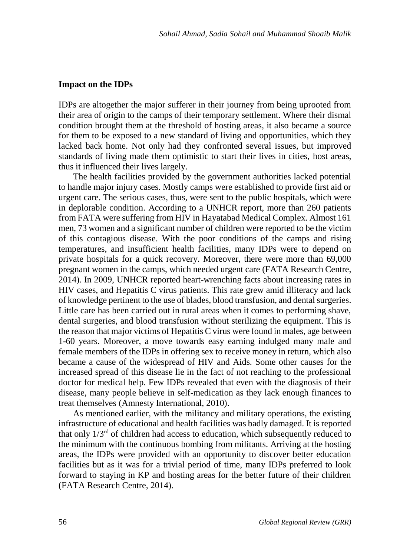#### **Impact on the IDPs**

IDPs are altogether the major sufferer in their journey from being uprooted from their area of origin to the camps of their temporary settlement. Where their dismal condition brought them at the threshold of hosting areas, it also became a source for them to be exposed to a new standard of living and opportunities, which they lacked back home. Not only had they confronted several issues, but improved standards of living made them optimistic to start their lives in cities, host areas, thus it influenced their lives largely.

The health facilities provided by the government authorities lacked potential to handle major injury cases. Mostly camps were established to provide first aid or urgent care. The serious cases, thus, were sent to the public hospitals, which were in deplorable condition. According to a UNHCR report, more than 260 patients from FATA were suffering from HIV in Hayatabad Medical Complex. Almost 161 men, 73 women and a significant number of children were reported to be the victim of this contagious disease. With the poor conditions of the camps and rising temperatures, and insufficient health facilities, many IDPs were to depend on private hospitals for a quick recovery. Moreover, there were more than 69,000 pregnant women in the camps, which needed urgent care (FATA Research Centre, 2014). In 2009, UNHCR reported heart-wrenching facts about increasing rates in HIV cases, and Hepatitis C virus patients. This rate grew amid illiteracy and lack of knowledge pertinent to the use of blades, blood transfusion, and dental surgeries. Little care has been carried out in rural areas when it comes to performing shave, dental surgeries, and blood transfusion without sterilizing the equipment. This is the reason that major victims of Hepatitis C virus were found in males, age between 1-60 years. Moreover, a move towards easy earning indulged many male and female members of the IDPs in offering sex to receive money in return, which also became a cause of the widespread of HIV and Aids. Some other causes for the increased spread of this disease lie in the fact of not reaching to the professional doctor for medical help. Few IDPs revealed that even with the diagnosis of their disease, many people believe in self-medication as they lack enough finances to treat themselves (Amnesty International, 2010).

As mentioned earlier, with the militancy and military operations, the existing infrastructure of educational and health facilities was badly damaged. It is reported that only 1/3rd of children had access to education, which subsequently reduced to the minimum with the continuous bombing from militants. Arriving at the hosting areas, the IDPs were provided with an opportunity to discover better education facilities but as it was for a trivial period of time, many IDPs preferred to look forward to staying in KP and hosting areas for the better future of their children (FATA Research Centre, 2014).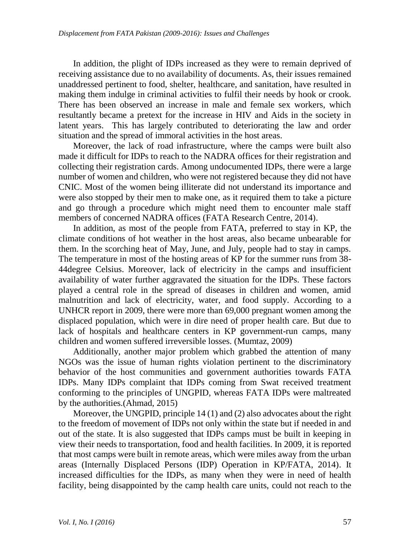In addition, the plight of IDPs increased as they were to remain deprived of receiving assistance due to no availability of documents. As, their issues remained unaddressed pertinent to food, shelter, healthcare, and sanitation, have resulted in making them indulge in criminal activities to fulfil their needs by hook or crook. There has been observed an increase in male and female sex workers, which resultantly became a pretext for the increase in HIV and Aids in the society in latent years. This has largely contributed to deteriorating the law and order situation and the spread of immoral activities in the host areas.

Moreover, the lack of road infrastructure, where the camps were built also made it difficult for IDPs to reach to the NADRA offices for their registration and collecting their registration cards. Among undocumented IDPs, there were a large number of women and children, who were not registered because they did not have CNIC. Most of the women being illiterate did not understand its importance and were also stopped by their men to make one, as it required them to take a picture and go through a procedure which might need them to encounter male staff members of concerned NADRA offices (FATA Research Centre, 2014).

In addition, as most of the people from FATA, preferred to stay in KP, the climate conditions of hot weather in the host areas, also became unbearable for them. In the scorching heat of May, June, and July, people had to stay in camps. The temperature in most of the hosting areas of KP for the summer runs from 38- 44degree Celsius. Moreover, lack of electricity in the camps and insufficient availability of water further aggravated the situation for the IDPs. These factors played a central role in the spread of diseases in children and women, amid malnutrition and lack of electricity, water, and food supply. According to a UNHCR report in 2009, there were more than 69,000 pregnant women among the displaced population, which were in dire need of proper health care. But due to lack of hospitals and healthcare centers in KP government-run camps, many children and women suffered irreversible losses. (Mumtaz, 2009)

Additionally, another major problem which grabbed the attention of many NGOs was the issue of human rights violation pertinent to the discriminatory behavior of the host communities and government authorities towards FATA IDPs. Many IDPs complaint that IDPs coming from Swat received treatment conforming to the principles of UNGPID, whereas FATA IDPs were maltreated by the authorities.(Ahmad, 2015)

Moreover, the UNGPID, principle 14 (1) and (2) also advocates about the right to the freedom of movement of IDPs not only within the state but if needed in and out of the state. It is also suggested that IDPs camps must be built in keeping in view their needs to transportation, food and health facilities. In 2009, it is reported that most camps were built in remote areas, which were miles away from the urban areas (Internally Displaced Persons (IDP) Operation in KP/FATA, 2014). It increased difficulties for the IDPs, as many when they were in need of health facility, being disappointed by the camp health care units, could not reach to the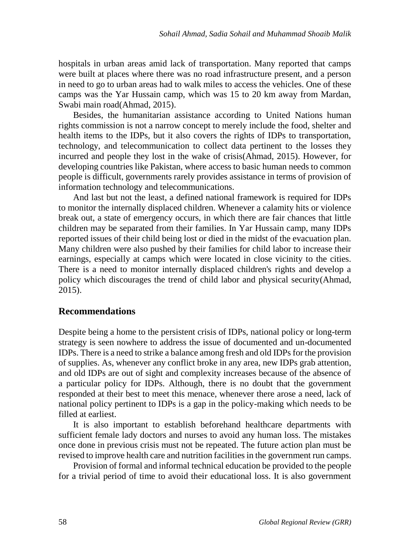hospitals in urban areas amid lack of transportation. Many reported that camps were built at places where there was no road infrastructure present, and a person in need to go to urban areas had to walk miles to access the vehicles. One of these camps was the Yar Hussain camp, which was 15 to 20 km away from Mardan, Swabi main road(Ahmad, 2015).

Besides, the humanitarian assistance according to United Nations human rights commission is not a narrow concept to merely include the food, shelter and health items to the IDPs, but it also covers the rights of IDPs to transportation, technology, and telecommunication to collect data pertinent to the losses they incurred and people they lost in the wake of crisis(Ahmad, 2015). However, for developing countries like Pakistan, where access to basic human needs to common people is difficult, governments rarely provides assistance in terms of provision of information technology and telecommunications.

And last but not the least, a defined national framework is required for IDPs to monitor the internally displaced children. Whenever a calamity hits or violence break out, a state of emergency occurs, in which there are fair chances that little children may be separated from their families. In Yar Hussain camp, many IDPs reported issues of their child being lost or died in the midst of the evacuation plan. Many children were also pushed by their families for child labor to increase their earnings, especially at camps which were located in close vicinity to the cities. There is a need to monitor internally displaced children's rights and develop a policy which discourages the trend of child labor and physical security(Ahmad, 2015).

### **Recommendations**

Despite being a home to the persistent crisis of IDPs, national policy or long-term strategy is seen nowhere to address the issue of documented and un-documented IDPs. There is a need to strike a balance among fresh and old IDPs for the provision of supplies. As, whenever any conflict broke in any area, new IDPs grab attention, and old IDPs are out of sight and complexity increases because of the absence of a particular policy for IDPs. Although, there is no doubt that the government responded at their best to meet this menace, whenever there arose a need, lack of national policy pertinent to IDPs is a gap in the policy-making which needs to be filled at earliest.

It is also important to establish beforehand healthcare departments with sufficient female lady doctors and nurses to avoid any human loss. The mistakes once done in previous crisis must not be repeated. The future action plan must be revised to improve health care and nutrition facilities in the government run camps.

Provision of formal and informal technical education be provided to the people for a trivial period of time to avoid their educational loss. It is also government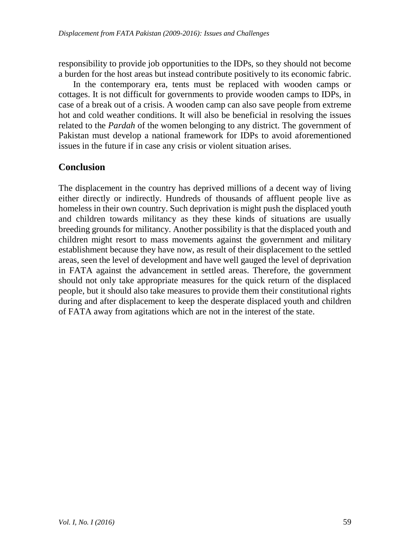responsibility to provide job opportunities to the IDPs, so they should not become a burden for the host areas but instead contribute positively to its economic fabric.

In the contemporary era, tents must be replaced with wooden camps or cottages. It is not difficult for governments to provide wooden camps to IDPs, in case of a break out of a crisis. A wooden camp can also save people from extreme hot and cold weather conditions. It will also be beneficial in resolving the issues related to the *Pardah* of the women belonging to any district. The government of Pakistan must develop a national framework for IDPs to avoid aforementioned issues in the future if in case any crisis or violent situation arises.

### **Conclusion**

The displacement in the country has deprived millions of a decent way of living either directly or indirectly. Hundreds of thousands of affluent people live as homeless in their own country. Such deprivation is might push the displaced youth and children towards militancy as they these kinds of situations are usually breeding grounds for militancy. Another possibility is that the displaced youth and children might resort to mass movements against the government and military establishment because they have now, as result of their displacement to the settled areas, seen the level of development and have well gauged the level of deprivation in FATA against the advancement in settled areas. Therefore, the government should not only take appropriate measures for the quick return of the displaced people, but it should also take measures to provide them their constitutional rights during and after displacement to keep the desperate displaced youth and children of FATA away from agitations which are not in the interest of the state.